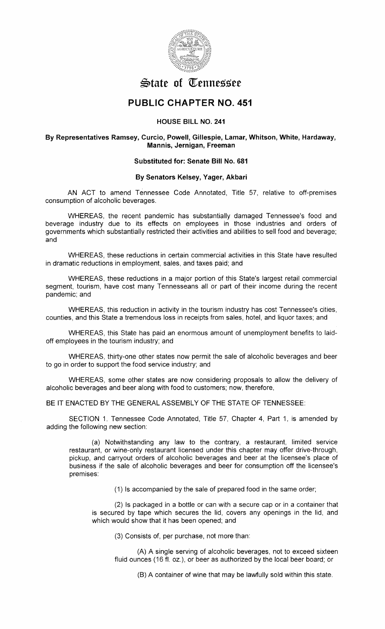

# $\bigoplus$ tate of Tennessee

# **PUBLIC CHAPTER NO. 451**

## **HOUSE BILL NO. 241**

### **By Representatives Ramsey, Curcio, Powell, Gillespie, Lamar, Whitson, White, Hardaway, Mannis, Jernigan, Freeman**

### **Substituted for: Senate Bill No. 681**

#### **By Senators Kelsey, Yager, Akbari**

AN ACT to amend Tennessee Code Annotated, Title 57, relative to off-premises consumption of alcoholic beverages.

WHEREAS, the recent pandemic has substantially damaged Tennessee's food and beverage industry due to its effects on employees in those industries and orders of governments which substantially restricted their activities and abilities to sell food and beverage; and

WHEREAS, these reductions in certain commercial activities in this State have resulted in dramatic reductions in employment, sales, and taxes paid; and

WHEREAS, these reductions in a major portion of this State's largest retail commercial segment, tourism, have cost many Tennesseans all or part of their income during the recent pandemic; and

WHEREAS, this reduction in activity in the tourism industry has cost Tennessee's cities, counties, and this State a tremendous loss in receipts from sales, hotel, and liquor taxes; and

WHEREAS, this State has paid an enormous amount of unemployment benefits to laidoff employees in the tourism industry; and

WHEREAS, thirty-one other states now permit the sale of alcoholic beverages and beer to go in order to support the food service industry; and

WHEREAS, some other states are now considering proposals to allow the delivery of alcoholic beverages and beer along with food to customers; now, therefore,

BE IT ENACTED BY THE GENERAL ASSEMBLY OF THE STATE OF TENNESSEE:

SECTION 1. Tennessee Code Annotated, Title 57, Chapter 4, Part 1, is amended by adding the following new section:

(a) Notwithstanding any law to the contrary, a restaurant, limited service restaurant, or wine-only restaurant licensed under this chapter may offer drive-through, pickup, and carryout orders of alcoholic beverages and beer at the licensee's place of business if the sale of alcoholic beverages and beer for consumption off the licensee's premises:

(1) Is accompanied by the sale of prepared food in the same order;

(2) Is packaged in a bottle or can with a secure cap or in a container that is secured by tape which secures the lid, covers any openings in the lid, and which would show that it has been opened; and

(3) Consists of, per purchase, not more than:

(A) A single serving of alcoholic beverages, not to exceed sixteen fluid ounces (16 fl. oz.), or beer as authorized by the local beer board; or

(B) A container of wine that may be lawfully sold within this state.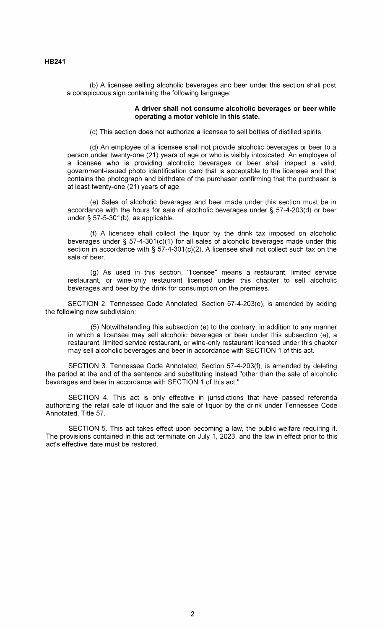(b) A licensee selling alcoholic beverages and beer under this section shall post a conspicuous sign containing the following language:

#### **A driver shall not consume alcoholic beverages or beer while operating a motor vehicle in this state.**

(c) This section does not authorize a licensee to sell bottles of distilled spirits.

(d) An employee of a licensee shall not provide alcoholic beverages or beer to a person under twenty-one (21) years of age or who is visibly intoxicated. An employee of a licensee who is providing alcoholic beverages or beer shall inspect a valid, government-issued photo identification card that is acceptable to the licensee and that contains the photograph and birthdate of the purchaser confirming that the purchaser is at least twenty-one (21) years of age.

(e) Sales of alcoholic beverages and beer made under this section must be in accordance with the hours for sale of alcoholic beverages under§ 57-4-203(d) or beer under  $§$  57-5-301(b), as applicable.

(f) A licensee shall collect the liquor by the drink tax imposed on alcoholic beverages under  $\S$  57-4-301(c)(1) for all sales of alcoholic beverages made under this section in accordance with §  $57-4-301(c)(2)$ . A licensee shall not collect such tax on the sale of beer.

(g) As used in this section, "licensee" means a restaurant, limited service restaurant, or wine-only restaurant licensed under this chapter to sell alcoholic beverages and beer by the drink for consumption on the premises.

SECTION 2. Tennessee Code Annotated, Section 57-4-203(e), is amended by adding the following new subdivision:

(5) Notwithstanding this subsection (e) to the contrary, in addition to any manner in which a licensee may sell alcoholic beverages or beer under this subsection (e), a restaurant, limited service restaurant, or wine-only restaurant licensed under this chapter may sell alcoholic beverages and beer in accordance with SECTION 1 of this act.

SECTION 3. Tennessee Code Annotated, Section 57-4-203(f), is amended by deleting the period at the end of the sentence and substituting instead "other than the sale of alcoholic beverages and beer in accordance with SECTION 1 of this act."

SECTION 4. This act is only effective in jurisdictions that have passed referenda authorizing the retail sale of liquor and the sale of liquor by the drink under Tennessee Code Annotated, Title 57.

SECTION 5. This act takes effect upon becoming a law, the public welfare requiring it. The provisions contained in this act terminate on July 1, 2023, and the law in effect prior to this act's effective date must be restored.